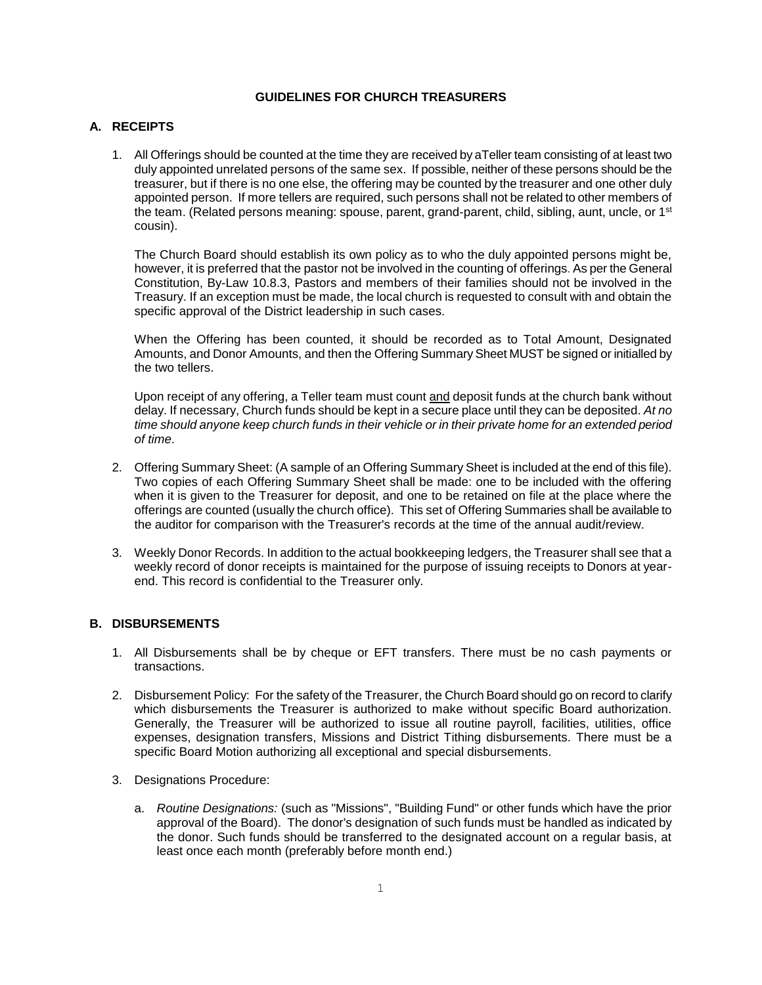#### **GUIDELINES FOR CHURCH TREASURERS**

#### **A. RECEIPTS**

1. All Offerings should be counted at the time they are received by aTeller team consisting of at least two duly appointed unrelated persons of the same sex. If possible, neither of these persons should be the treasurer, but if there is no one else, the offering may be counted by the treasurer and one other duly appointed person. If more tellers are required, such persons shall not be related to other members of the team. (Related persons meaning: spouse, parent, grand-parent, child, sibling, aunt, uncle, or 1<sup>st</sup> cousin).

The Church Board should establish its own policy as to who the duly appointed persons might be, however, it is preferred that the pastor not be involved in the counting of offerings. As per the General Constitution, By-Law 10.8.3, Pastors and members of their families should not be involved in the Treasury. If an exception must be made, the local church is requested to consult with and obtain the specific approval of the District leadership in such cases.

When the Offering has been counted, it should be recorded as to Total Amount, Designated Amounts, and Donor Amounts, and then the Offering Summary Sheet MUST be signed or initialled by the two tellers.

Upon receipt of any offering, a Teller team must count and deposit funds at the church bank without delay. If necessary, Church funds should be kept in a secure place until they can be deposited. *At no time should anyone keep church funds in their vehicle or in their private home for an extended period of time*.

- 2. Offering Summary Sheet: (A sample of an Offering Summary Sheet is included at the end of this file). Two copies of each Offering Summary Sheet shall be made: one to be included with the offering when it is given to the Treasurer for deposit, and one to be retained on file at the place where the offerings are counted (usually the church office). This set of Offering Summaries shall be available to the auditor for comparison with the Treasurer's records at the time of the annual audit/review.
- 3. Weekly Donor Records. In addition to the actual bookkeeping ledgers, the Treasurer shall see that a weekly record of donor receipts is maintained for the purpose of issuing receipts to Donors at yearend. This record is confidential to the Treasurer only.

#### **B. DISBURSEMENTS**

- 1. All Disbursements shall be by cheque or EFT transfers. There must be no cash payments or transactions.
- 2. Disbursement Policy: For the safety of the Treasurer, the Church Board should go on record to clarify which disbursements the Treasurer is authorized to make without specific Board authorization. Generally, the Treasurer will be authorized to issue all routine payroll, facilities, utilities, office expenses, designation transfers, Missions and District Tithing disbursements. There must be a specific Board Motion authorizing all exceptional and special disbursements.
- 3. Designations Procedure:
	- a. *Routine Designations:* (such as "Missions", "Building Fund" or other funds which have the prior approval of the Board). The donor's designation of such funds must be handled as indicated by the donor. Such funds should be transferred to the designated account on a regular basis, at least once each month (preferably before month end.)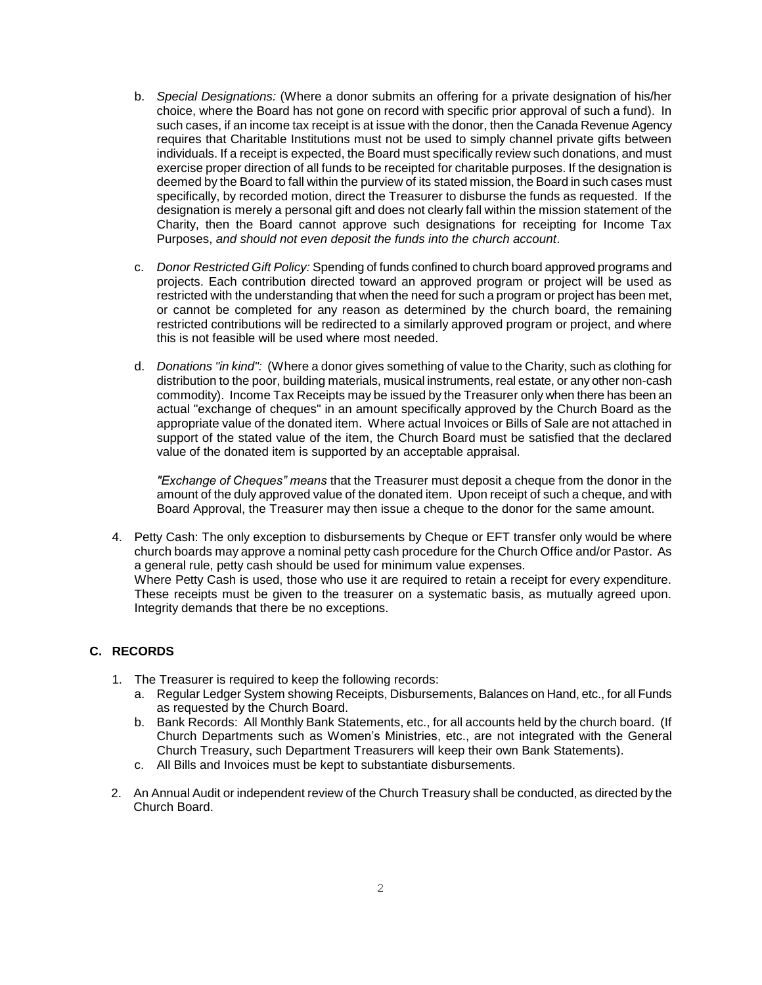- b. *Special Designations:* (Where a donor submits an offering for a private designation of his/her choice, where the Board has not gone on record with specific prior approval of such a fund). In such cases, if an income tax receipt is at issue with the donor, then the Canada Revenue Agency requires that Charitable Institutions must not be used to simply channel private gifts between individuals. If a receipt is expected, the Board must specifically review such donations, and must exercise proper direction of all funds to be receipted for charitable purposes. If the designation is deemed by the Board to fall within the purview of its stated mission, the Board in such cases must specifically, by recorded motion, direct the Treasurer to disburse the funds as requested. If the designation is merely a personal gift and does not clearly fall within the mission statement of the Charity, then the Board cannot approve such designations for receipting for Income Tax Purposes, *and should not even deposit the funds into the church account*.
- c. *Donor Restricted Gift Policy:* Spending of funds confined to church board approved programs and projects. Each contribution directed toward an approved program or project will be used as restricted with the understanding that when the need for such a program or project has been met, or cannot be completed for any reason as determined by the church board, the remaining restricted contributions will be redirected to a similarly approved program or project, and where this is not feasible will be used where most needed.
- d. *Donations "in kind":* (Where a donor gives something of value to the Charity, such as clothing for distribution to the poor, building materials, musical instruments, real estate, or any other non-cash commodity). Income Tax Receipts may be issued by the Treasurer only when there has been an actual "exchange of cheques" in an amount specifically approved by the Church Board as the appropriate value of the donated item. Where actual Invoices or Bills of Sale are not attached in support of the stated value of the item, the Church Board must be satisfied that the declared value of the donated item is supported by an acceptable appraisal.

*"Exchange of Cheques" means* that the Treasurer must deposit a cheque from the donor in the amount of the duly approved value of the donated item. Upon receipt of such a cheque, and with Board Approval, the Treasurer may then issue a cheque to the donor for the same amount.

4. Petty Cash: The only exception to disbursements by Cheque or EFT transfer only would be where church boards may approve a nominal petty cash procedure for the Church Office and/or Pastor. As a general rule, petty cash should be used for minimum value expenses. Where Petty Cash is used, those who use it are required to retain a receipt for every expenditure. These receipts must be given to the treasurer on a systematic basis, as mutually agreed upon. Integrity demands that there be no exceptions.

#### **C. RECORDS**

- 1. The Treasurer is required to keep the following records:
	- a. Regular Ledger System showing Receipts, Disbursements, Balances on Hand, etc., for all Funds as requested by the Church Board.
	- b. Bank Records: All Monthly Bank Statements, etc., for all accounts held by the church board. (If Church Departments such as Women's Ministries, etc., are not integrated with the General Church Treasury, such Department Treasurers will keep their own Bank Statements).
	- c. All Bills and Invoices must be kept to substantiate disbursements.
- 2. An Annual Audit or independent review of the Church Treasury shall be conducted, as directed by the Church Board.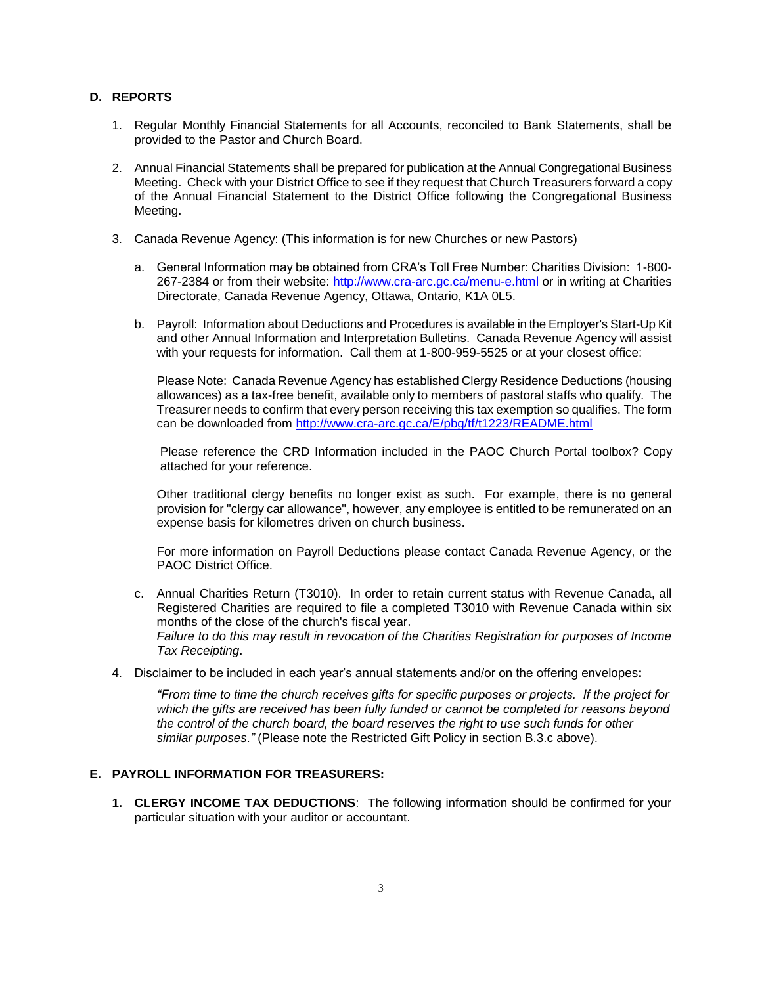#### **D. REPORTS**

- 1. Regular Monthly Financial Statements for all Accounts, reconciled to Bank Statements, shall be provided to the Pastor and Church Board.
- 2. Annual Financial Statements shall be prepared for publication at the Annual Congregational Business Meeting. Check with your District Office to see if they request that Church Treasurers forward a copy of the Annual Financial Statement to the District Office following the Congregational Business Meeting.
- 3. Canada Revenue Agency: (This information is for new Churches or new Pastors)
	- a. General Information may be obtained from CRA's Toll Free Number: Charities Division: 1-800- 267-2384 or from their website:<http://www.cra-arc.gc.ca/menu-e.html> or in writing at Charities Directorate, Canada Revenue Agency, Ottawa, Ontario, K1A 0L5.
	- b. Payroll: Information about Deductions and Procedures is available in the Employer's Start-Up Kit and other Annual Information and Interpretation Bulletins. Canada Revenue Agency will assist with your requests for information. Call them at 1-800-959-5525 or at your closest office:

Please Note: Canada Revenue Agency has established Clergy Residence Deductions (housing allowances) as a tax-free benefit, available only to members of pastoral staffs who qualify*.* The Treasurer needs to confirm that every person receiving this tax exemption so qualifies. The form can be downloaded from<http://www.cra-arc.gc.ca/E/pbg/tf/t1223/README.html>

Please reference the CRD Information included in the PAOC Church Portal toolbox? Copy attached for your reference.

Other traditional clergy benefits no longer exist as such. For example, there is no general provision for "clergy car allowance", however, any employee is entitled to be remunerated on an expense basis for kilometres driven on church business.

For more information on Payroll Deductions please contact Canada Revenue Agency, or the PAOC District Office.

- c. Annual Charities Return (T3010). In order to retain current status with Revenue Canada, all Registered Charities are required to file a completed T3010 with Revenue Canada within six months of the close of the church's fiscal year. *Failure to do this may result in revocation of the Charities Registration for purposes of Income Tax Receipting*.
- 4. Disclaimer to be included in each year's annual statements and/or on the offering envelopes**:**

*"From time to time the church receives gifts for specific purposes or projects. If the project for which the gifts are received has been fully funded or cannot be completed for reasons beyond the control of the church board, the board reserves the right to use such funds for other similar purposes."* (Please note the Restricted Gift Policy in section B.3.c above).

#### **E. PAYROLL INFORMATION FOR TREASURERS:**

**1. CLERGY INCOME TAX DEDUCTIONS**: The following information should be confirmed for your particular situation with your auditor or accountant.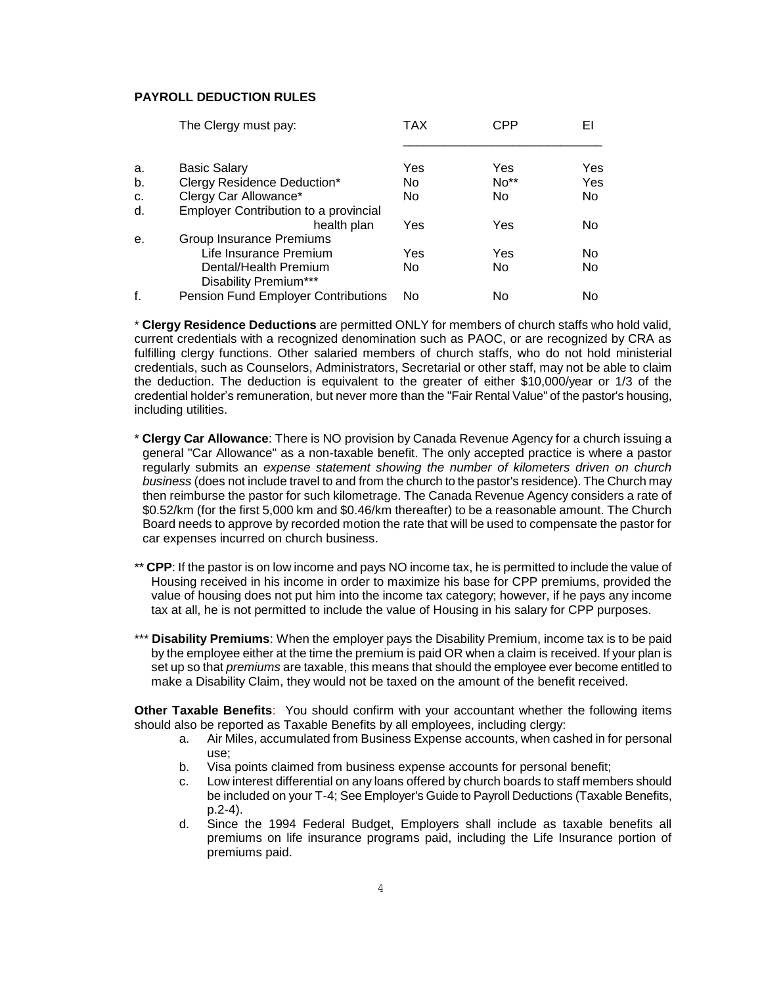#### **PAYROLL DEDUCTION RULES**

|    | The Clergy must pay:                  | TAX | CPP  | EI  |  |
|----|---------------------------------------|-----|------|-----|--|
| a. | <b>Basic Salary</b>                   | Yes | Yes  | Yes |  |
| b. | Clergy Residence Deduction*           | No  | No** | Yes |  |
| C. | Clergy Car Allowance*                 | No  | No   | No. |  |
| d. | Employer Contribution to a provincial |     |      |     |  |
|    | health plan                           | Yes | Yes  | No  |  |
| е. | Group Insurance Premiums              |     |      |     |  |
|    | Life Insurance Premium                | Yes | Yes  | No  |  |
|    | Dental/Health Premium                 | No  | No   | No  |  |
|    | Disability Premium***                 |     |      |     |  |
| f. | Pension Fund Employer Contributions   | No  | No   | No  |  |

\* **Clergy Residence Deductions** are permitted ONLY for members of church staffs who hold valid, current credentials with a recognized denomination such as PAOC, or are recognized by CRA as fulfilling clergy functions. Other salaried members of church staffs, who do not hold ministerial credentials, such as Counselors, Administrators, Secretarial or other staff, may not be able to claim the deduction. The deduction is equivalent to the greater of either \$10,000/year or 1/3 of the credential holder's remuneration, but never more than the "Fair Rental Value" of the pastor's housing, including utilities.

- \* **Clergy Car Allowance**: There is NO provision by Canada Revenue Agency for a church issuing a general "Car Allowance" as a non-taxable benefit. The only accepted practice is where a pastor regularly submits an *expense statement showing the number of kilometers driven on church business* (does not include travel to and from the church to the pastor's residence). The Church may then reimburse the pastor for such kilometrage. The Canada Revenue Agency considers a rate of \$0.52/km (for the first 5,000 km and \$0.46/km thereafter) to be a reasonable amount. The Church Board needs to approve by recorded motion the rate that will be used to compensate the pastor for car expenses incurred on church business.
- \*\* **CPP**: If the pastor is on low income and pays NO income tax, he is permitted to include the value of Housing received in his income in order to maximize his base for CPP premiums, provided the value of housing does not put him into the income tax category; however, if he pays any income tax at all, he is not permitted to include the value of Housing in his salary for CPP purposes.
- \*\*\* **Disability Premiums**: When the employer pays the Disability Premium, income tax is to be paid by the employee either at the time the premium is paid OR when a claim is received. If your plan is set up so that *premiums* are taxable, this means that should the employee ever become entitled to make a Disability Claim, they would not be taxed on the amount of the benefit received.

**Other Taxable Benefits**: You should confirm with your accountant whether the following items should also be reported as Taxable Benefits by all employees, including clergy:

- a. Air Miles, accumulated from Business Expense accounts, when cashed in for personal use;
- b. Visa points claimed from business expense accounts for personal benefit;
- c. Low interest differential on any loans offered by church boards to staff members should be included on your T-4; See Employer's Guide to Payroll Deductions (Taxable Benefits, p.2-4).
- d. Since the 1994 Federal Budget, Employers shall include as taxable benefits all premiums on life insurance programs paid, including the Life Insurance portion of premiums paid.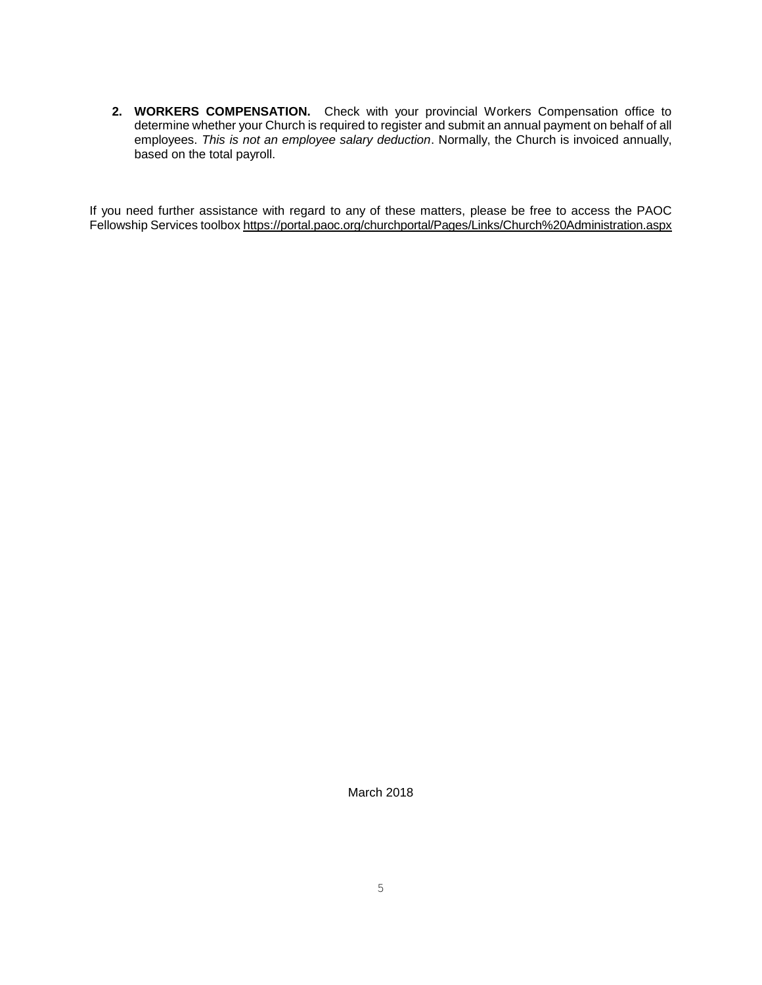**2. WORKERS COMPENSATION.** Check with your provincial Workers Compensation office to determine whether your Church is required to register and submit an annual payment on behalf of all employees. *This is not an employee salary deduction*. Normally, the Church is invoiced annually, based on the total payroll.

If you need further assistance with regard to any of these matters, please be free to access the PAOC Fellowship Services toolbo[x https://portal.paoc.org/churchportal/Pages/Links/Church%20Administration.aspx](https://portal.paoc.org/churchportal/Pages/Links/Church%20Administration.aspx)

March 2018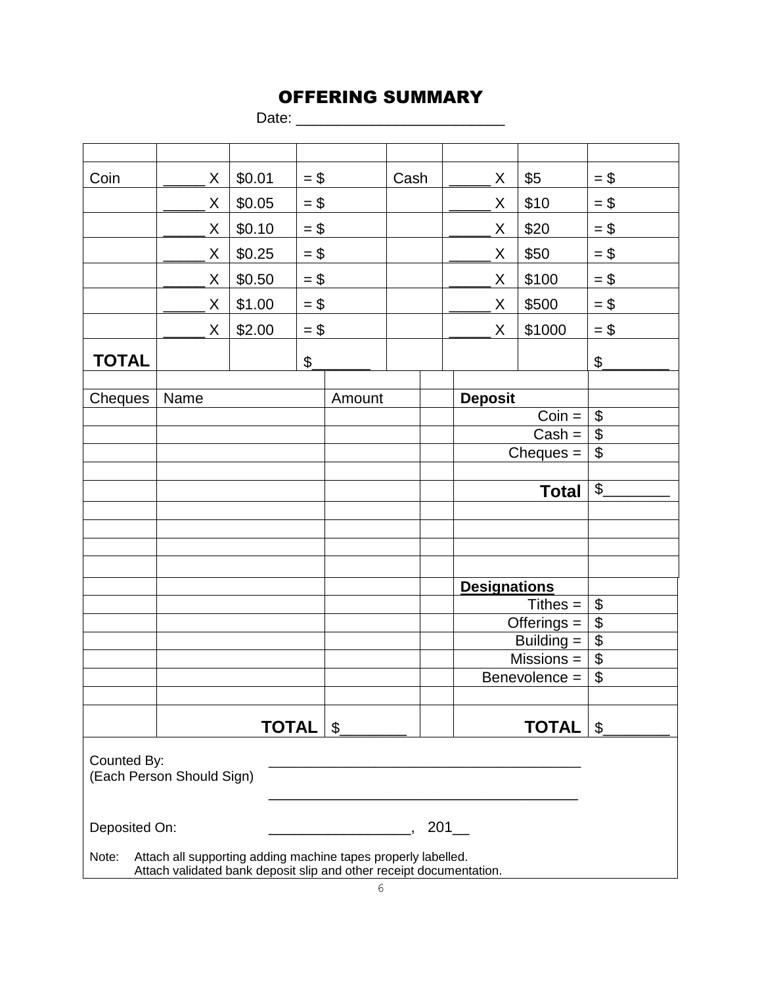# OFFERING SUMMARY

Date: \_\_\_\_\_\_\_\_\_\_\_\_\_\_\_\_\_\_\_\_\_\_\_\_\_

| Coin                                                                   | Χ                                                                   | \$0.01       | $= $$         |                | Cash |               | X              | \$5                 | $=$ \$                   |  |  |  |
|------------------------------------------------------------------------|---------------------------------------------------------------------|--------------|---------------|----------------|------|---------------|----------------|---------------------|--------------------------|--|--|--|
|                                                                        | X                                                                   | \$0.05       | $=$ \$        |                |      |               | X              | \$10                | $=$ \$                   |  |  |  |
|                                                                        | Χ                                                                   | \$0.10       | $=$ \$        |                |      |               | X              | \$20                | $=$ \$                   |  |  |  |
|                                                                        | X                                                                   | \$0.25       | $= $$         |                |      |               | X              | \$50                | $=$ \$                   |  |  |  |
|                                                                        | Χ                                                                   | \$0.50       | $=$ \$        |                |      |               | X              | \$100               | $=$ \$                   |  |  |  |
|                                                                        | Χ                                                                   | \$1.00       | $=$ \$        |                |      |               | Χ              | \$500               | $= $$                    |  |  |  |
|                                                                        | X                                                                   | \$2.00       | $=$ \$        |                |      |               | X              | \$1000              | $=$ \$                   |  |  |  |
| <b>TOTAL</b>                                                           |                                                                     |              | $\frac{1}{2}$ |                |      |               |                |                     | $\frac{1}{2}$            |  |  |  |
|                                                                        |                                                                     |              |               |                |      |               |                |                     |                          |  |  |  |
| Cheques                                                                | Name                                                                |              |               | Amount         |      |               | <b>Deposit</b> |                     |                          |  |  |  |
|                                                                        |                                                                     |              |               |                |      |               |                | $Coin =$            | \$                       |  |  |  |
|                                                                        |                                                                     |              |               |                |      |               |                | $Cash =$            | \$                       |  |  |  |
|                                                                        |                                                                     |              |               |                |      |               |                | $Cheques =$         | \$                       |  |  |  |
|                                                                        |                                                                     |              |               |                |      |               |                |                     |                          |  |  |  |
|                                                                        |                                                                     |              |               |                |      |               |                | <b>Total</b>        | \$                       |  |  |  |
|                                                                        |                                                                     |              |               |                |      |               |                |                     |                          |  |  |  |
|                                                                        |                                                                     |              |               |                |      |               |                |                     |                          |  |  |  |
|                                                                        |                                                                     |              |               |                |      |               |                |                     |                          |  |  |  |
|                                                                        |                                                                     |              |               |                |      |               |                |                     |                          |  |  |  |
|                                                                        |                                                                     |              |               |                |      |               |                | <b>Designations</b> |                          |  |  |  |
|                                                                        |                                                                     |              |               |                |      |               |                | $Tithes =$          | \$                       |  |  |  |
|                                                                        |                                                                     |              |               |                |      | $Offerings =$ |                | $\overline{\$}$     |                          |  |  |  |
|                                                                        |                                                                     |              |               |                |      |               |                | Building $=$        | $\overline{\$}$          |  |  |  |
|                                                                        |                                                                     |              |               |                |      |               |                | $Missions =$        | \$                       |  |  |  |
|                                                                        |                                                                     |              |               |                |      |               |                | Benevolence =       | $\overline{\mathcal{G}}$ |  |  |  |
|                                                                        |                                                                     |              |               |                |      |               |                |                     |                          |  |  |  |
|                                                                        |                                                                     |              |               |                |      |               |                |                     |                          |  |  |  |
|                                                                        |                                                                     | <b>TOTAL</b> |               | $\mathfrak{L}$ |      |               |                | <b>TOTAL</b>        | $\mathfrak{L}$           |  |  |  |
| Counted By:<br>(Each Person Should Sign)                               |                                                                     |              |               |                |      |               |                |                     |                          |  |  |  |
| $201$ $-$<br>Deposited On:                                             |                                                                     |              |               |                |      |               |                |                     |                          |  |  |  |
| Note:<br>Attach all supporting adding machine tapes properly labelled. |                                                                     |              |               |                |      |               |                |                     |                          |  |  |  |
|                                                                        | Attach validated bank deposit slip and other receipt documentation. |              |               |                |      |               |                |                     |                          |  |  |  |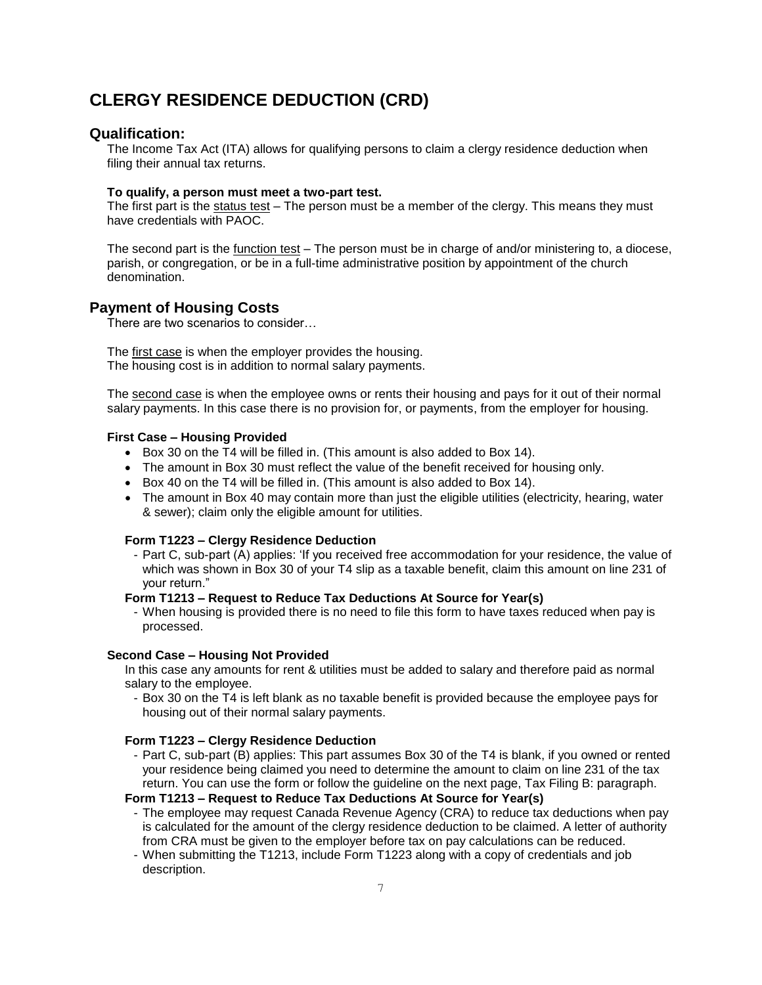## **CLERGY RESIDENCE DEDUCTION (CRD)**

## **Qualification:**

The Income Tax Act (ITA) allows for qualifying persons to claim a clergy residence deduction when filing their annual tax returns.

#### **To qualify, a person must meet a two-part test.**

The first part is the status test – The person must be a member of the clergy. This means they must have credentials with PAOC.

The second part is the function test – The person must be in charge of and/or ministering to, a diocese, parish, or congregation, or be in a full-time administrative position by appointment of the church denomination.

## **Payment of Housing Costs**

There are two scenarios to consider…

The first case is when the employer provides the housing. The housing cost is in addition to normal salary payments.

The second case is when the employee owns or rents their housing and pays for it out of their normal salary payments. In this case there is no provision for, or payments, from the employer for housing.

#### **First Case – Housing Provided**

- Box 30 on the T4 will be filled in. (This amount is also added to Box 14).
- The amount in Box 30 must reflect the value of the benefit received for housing only.
- Box 40 on the T4 will be filled in. (This amount is also added to Box 14).
- The amount in Box 40 may contain more than just the eligible utilities (electricity, hearing, water & sewer); claim only the eligible amount for utilities.

#### **Form T1223 – Clergy Residence Deduction**

- Part C, sub-part (A) applies: 'If you received free accommodation for your residence, the value of which was shown in Box 30 of your T4 slip as a taxable benefit, claim this amount on line 231 of your return."

#### **Form T1213 – Request to Reduce Tax Deductions At Source for Year(s)**

- When housing is provided there is no need to file this form to have taxes reduced when pay is processed.

#### **Second Case – Housing Not Provided**

In this case any amounts for rent & utilities must be added to salary and therefore paid as normal salary to the employee.

- Box 30 on the T4 is left blank as no taxable benefit is provided because the employee pays for housing out of their normal salary payments.

#### **Form T1223 – Clergy Residence Deduction**

- Part C, sub-part (B) applies: This part assumes Box 30 of the T4 is blank, if you owned or rented your residence being claimed you need to determine the amount to claim on line 231 of the tax return. You can use the form or follow the guideline on the next page, Tax Filing B: paragraph.

**Form T1213 – Request to Reduce Tax Deductions At Source for Year(s)**

- The employee may request Canada Revenue Agency (CRA) to reduce tax deductions when pay is calculated for the amount of the clergy residence deduction to be claimed. A letter of authority from CRA must be given to the employer before tax on pay calculations can be reduced.
- When submitting the T1213, include Form T1223 along with a copy of credentials and job description.